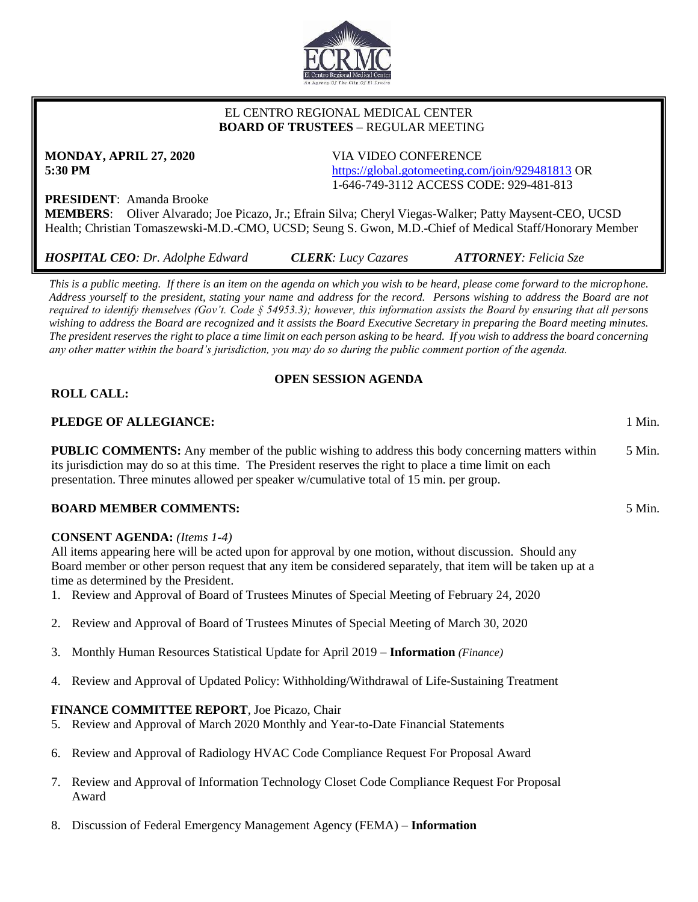

#### EL CENTRO REGIONAL MEDICAL CENTER  **BOARD OF TRUSTEES** – REGULAR MEETING

# **MONDAY, APRIL 27, 2020** VIA VIDEO CONFERENCE

**5:30 PM** <https://global.gotomeeting.com/join/929481813> OR 1-646-749-3112 ACCESS CODE: 929-481-813

## **PRESIDENT**: Amanda Brooke

**MEMBERS**: Oliver Alvarado; Joe Picazo, Jr.; Efrain Silva; Cheryl Viegas-Walker; Patty Maysent-CEO, UCSD Health; Christian Tomaszewski-M.D.-CMO, UCSD; Seung S. Gwon, M.D.-Chief of Medical Staff/Honorary Member

*This is a public meeting. If there is an item on the agenda on which you wish to be heard, please come forward to the microphone. Address yourself to the president, stating your name and address for the record. Persons wishing to address the Board are not required to identify themselves (Gov't. Code § 54953.3); however, this information assists the Board by ensuring that all persons wishing to address the Board are recognized and it assists the Board Executive Secretary in preparing the Board meeting minutes. The president reserves the right to place a time limit on each person asking to be heard. If you wish to address the board concerning any other matter within the board's jurisdiction, you may do so during the public comment portion of the agenda.*

#### **OPEN SESSION AGENDA**

#### **ROLL CALL:**

#### **PLEDGE OF ALLEGIANCE:** 1 Min.

**PUBLIC COMMENTS:** Any member of the public wishing to address this body concerning matters within its jurisdiction may do so at this time. The President reserves the right to place a time limit on each presentation. Three minutes allowed per speaker w/cumulative total of 15 min. per group. 5 Min.

#### **BOARD MEMBER COMMENTS:** 5 Min.

#### **CONSENT AGENDA:** *(Items 1-4)*

All items appearing here will be acted upon for approval by one motion, without discussion. Should any Board member or other person request that any item be considered separately, that item will be taken up at a time as determined by the President.

- 1. Review and Approval of Board of Trustees Minutes of Special Meeting of February 24, 2020
- 2. Review and Approval of Board of Trustees Minutes of Special Meeting of March 30, 2020
- 3. Monthly Human Resources Statistical Update for April 2019 **Information** *(Finance)*
- 4. Review and Approval of Updated Policy: Withholding/Withdrawal of Life-Sustaining Treatment

#### **FINANCE COMMITTEE REPORT**, Joe Picazo, Chair

- 5. Review and Approval of March 2020 Monthly and Year-to-Date Financial Statements
- 6. Review and Approval of Radiology HVAC Code Compliance Request For Proposal Award
- 7. Review and Approval of Information Technology Closet Code Compliance Request For Proposal Award
- 8. Discussion of Federal Emergency Management Agency (FEMA) **Information**